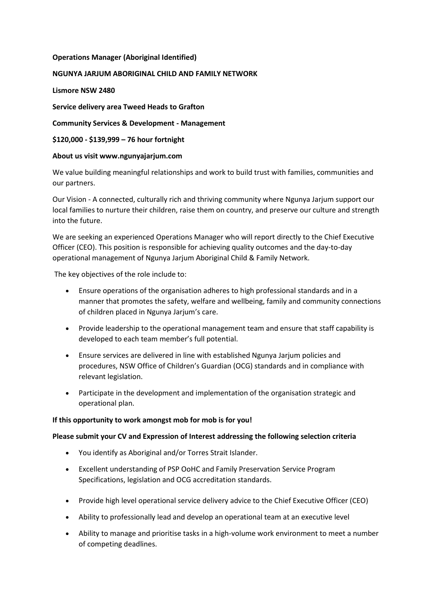# **Operations Manager (Aboriginal Identified)**

# **NGUNYA JARJUM ABORIGINAL CHILD AND FAMILY NETWORK**

**Lismore NSW 2480**

**Service delivery area Tweed Heads to Grafton**

**Community Services & Development - Management**

**\$120,000 - \$139,999 – 76 hour fortnight**

# **About us visit www.ngunyajarjum.com**

We value building meaningful relationships and work to build trust with families, communities and our partners.

Our Vision - A connected, culturally rich and thriving community where Ngunya Jarjum support our local families to nurture their children, raise them on country, and preserve our culture and strength into the future.

We are seeking an experienced Operations Manager who will report directly to the Chief Executive Officer (CEO). This position is responsible for achieving quality outcomes and the day-to-day operational management of Ngunya Jarjum Aboriginal Child & Family Network.

The key objectives of the role include to:

- Ensure operations of the organisation adheres to high professional standards and in a manner that promotes the safety, welfare and wellbeing, family and community connections of children placed in Ngunya Jarjum's care.
- Provide leadership to the operational management team and ensure that staff capability is developed to each team member's full potential.
- Ensure services are delivered in line with established Ngunya Jarjum policies and procedures, NSW Office of Children's Guardian (OCG) standards and in compliance with relevant legislation.
- Participate in the development and implementation of the organisation strategic and operational plan.

### **If this opportunity to work amongst mob for mob is for you!**

### **Please submit your CV and Expression of Interest addressing the following selection criteria**

- You identify as Aboriginal and/or Torres Strait Islander.
- Excellent understanding of PSP OoHC and Family Preservation Service Program Specifications, legislation and OCG accreditation standards.
- Provide high level operational service delivery advice to the Chief Executive Officer (CEO)
- Ability to professionally lead and develop an operational team at an executive level
- Ability to manage and prioritise tasks in a high-volume work environment to meet a number of competing deadlines.